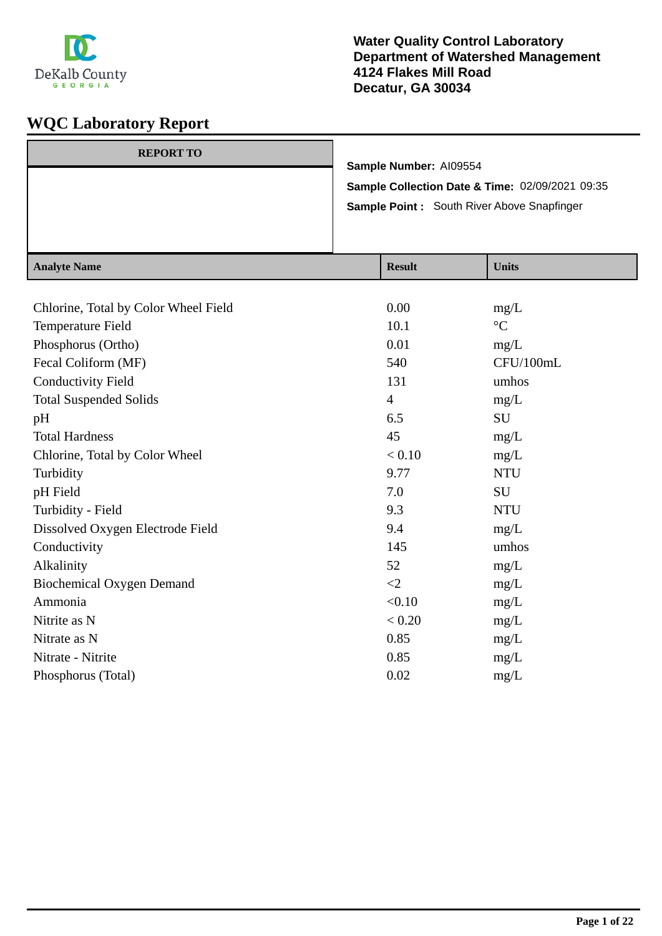

| Sample Number: AI09554<br>Sample Collection Date & Time: 02/09/2021 09:35<br>Sample Point: South River Above Snapfinger |  |  |  |  |
|-------------------------------------------------------------------------------------------------------------------------|--|--|--|--|
|                                                                                                                         |  |  |  |  |
|                                                                                                                         |  |  |  |  |
| <b>REPORT TO</b>                                                                                                        |  |  |  |  |

| <b>Analyte Name</b>                  | <b>Result</b>  | <b>Units</b>      |
|--------------------------------------|----------------|-------------------|
|                                      |                |                   |
| Chlorine, Total by Color Wheel Field | 0.00           | mg/L              |
| Temperature Field                    | 10.1           | $^{\circ}{\rm C}$ |
| Phosphorus (Ortho)                   | 0.01           | mg/L              |
| Fecal Coliform (MF)                  | 540            | CFU/100mL         |
| <b>Conductivity Field</b>            | 131            | umhos             |
| <b>Total Suspended Solids</b>        | $\overline{4}$ | mg/L              |
| pH                                   | 6.5            | SU                |
| <b>Total Hardness</b>                | 45             | mg/L              |
| Chlorine, Total by Color Wheel       | < 0.10         | mg/L              |
| Turbidity                            | 9.77           | <b>NTU</b>        |
| pH Field                             | 7.0            | <b>SU</b>         |
| Turbidity - Field                    | 9.3            | <b>NTU</b>        |
| Dissolved Oxygen Electrode Field     | 9.4            | mg/L              |
| Conductivity                         | 145            | umhos             |
| Alkalinity                           | 52             | mg/L              |
| <b>Biochemical Oxygen Demand</b>     | $\leq$ 2       | mg/L              |
| Ammonia                              | < 0.10         | mg/L              |
| Nitrite as N                         | < 0.20         | mg/L              |
| Nitrate as N                         | 0.85           | mg/L              |
| Nitrate - Nitrite                    | 0.85           | mg/L              |
| Phosphorus (Total)                   | 0.02           | mg/L              |
|                                      |                |                   |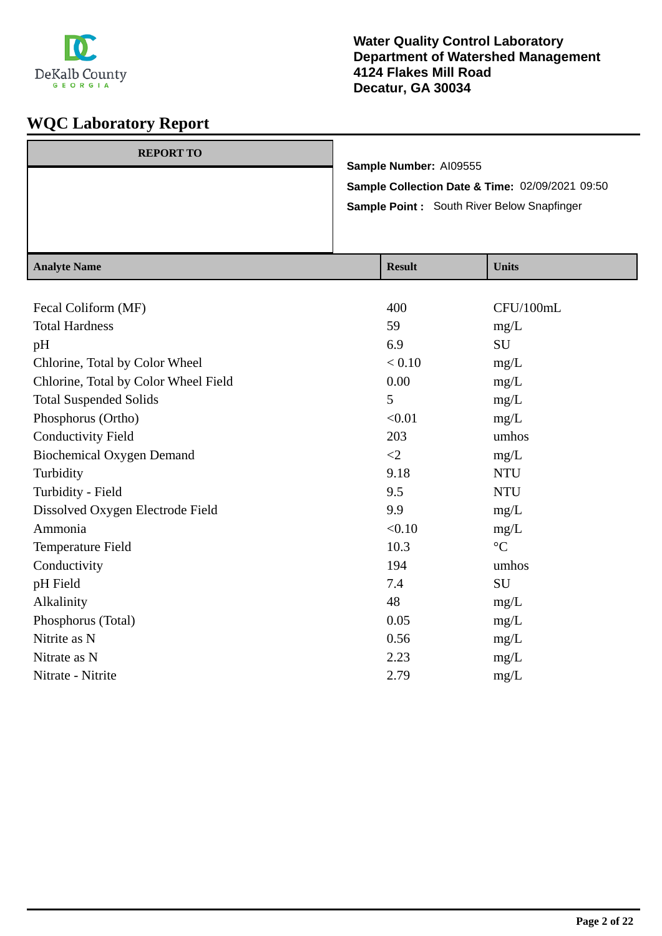

| <b>REPORT TO</b> |                                                 |
|------------------|-------------------------------------------------|
|                  | Sample Number: AI09555                          |
|                  | Sample Collection Date & Time: 02/09/2021 09:50 |
|                  | Sample Point: South River Below Snapfinger      |
|                  |                                                 |
|                  |                                                 |

| <b>Analyte Name</b>                  | <b>Result</b> | <b>Units</b>    |
|--------------------------------------|---------------|-----------------|
|                                      |               |                 |
| Fecal Coliform (MF)                  | 400           | CFU/100mL       |
| <b>Total Hardness</b>                | 59            | mg/L            |
| pH                                   | 6.9           | SU              |
| Chlorine, Total by Color Wheel       | < 0.10        | mg/L            |
| Chlorine, Total by Color Wheel Field | 0.00          | mg/L            |
| <b>Total Suspended Solids</b>        | 5             | mg/L            |
| Phosphorus (Ortho)                   | < 0.01        | mg/L            |
| <b>Conductivity Field</b>            | 203           | umhos           |
| <b>Biochemical Oxygen Demand</b>     | $\leq$ 2      | mg/L            |
| Turbidity                            | 9.18          | <b>NTU</b>      |
| Turbidity - Field                    | 9.5           | <b>NTU</b>      |
| Dissolved Oxygen Electrode Field     | 9.9           | mg/L            |
| Ammonia                              | < 0.10        | mg/L            |
| Temperature Field                    | 10.3          | $\rm ^{\circ}C$ |
| Conductivity                         | 194           | umhos           |
| pH Field                             | 7.4           | SU              |
| Alkalinity                           | 48            | mg/L            |
| Phosphorus (Total)                   | 0.05          | mg/L            |
| Nitrite as N                         | 0.56          | mg/L            |
| Nitrate as N                         | 2.23          | mg/L            |
| Nitrate - Nitrite                    | 2.79          | mg/L            |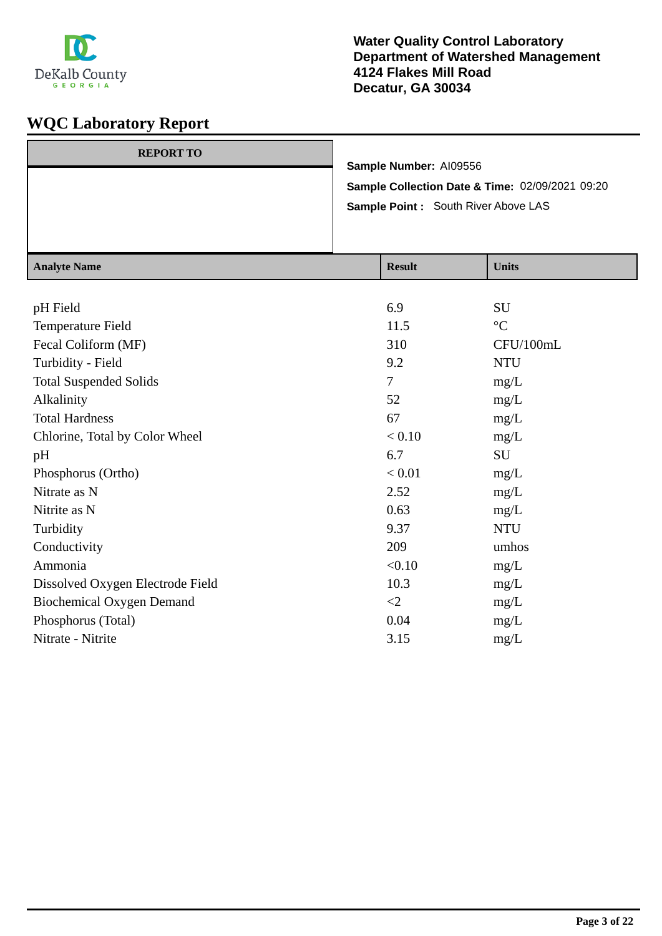

| <b>REPORT TO</b> |                                                 |
|------------------|-------------------------------------------------|
|                  | Sample Number: AI09556                          |
|                  | Sample Collection Date & Time: 02/09/2021 09:20 |
|                  | <b>Sample Point: South River Above LAS</b>      |
|                  |                                                 |
|                  |                                                 |

| <b>Analyte Name</b>              | <b>Result</b> | <b>Units</b>    |
|----------------------------------|---------------|-----------------|
|                                  |               |                 |
| pH Field                         | 6.9           | <b>SU</b>       |
| Temperature Field                | 11.5          | $\rm ^{\circ}C$ |
| Fecal Coliform (MF)              | 310           | CFU/100mL       |
| Turbidity - Field                | 9.2           | <b>NTU</b>      |
| <b>Total Suspended Solids</b>    | 7             | mg/L            |
| Alkalinity                       | 52            | mg/L            |
| <b>Total Hardness</b>            | 67            | mg/L            |
| Chlorine, Total by Color Wheel   | < 0.10        | mg/L            |
| pH                               | 6.7           | SU              |
| Phosphorus (Ortho)               | < 0.01        | mg/L            |
| Nitrate as N                     | 2.52          | mg/L            |
| Nitrite as N                     | 0.63          | mg/L            |
| Turbidity                        | 9.37          | <b>NTU</b>      |
| Conductivity                     | 209           | umhos           |
| Ammonia                          | < 0.10        | mg/L            |
| Dissolved Oxygen Electrode Field | 10.3          | mg/L            |
| <b>Biochemical Oxygen Demand</b> | $\leq$ 2      | mg/L            |
| Phosphorus (Total)               | 0.04          | mg/L            |
| Nitrate - Nitrite                | 3.15          | mg/L            |
|                                  |               |                 |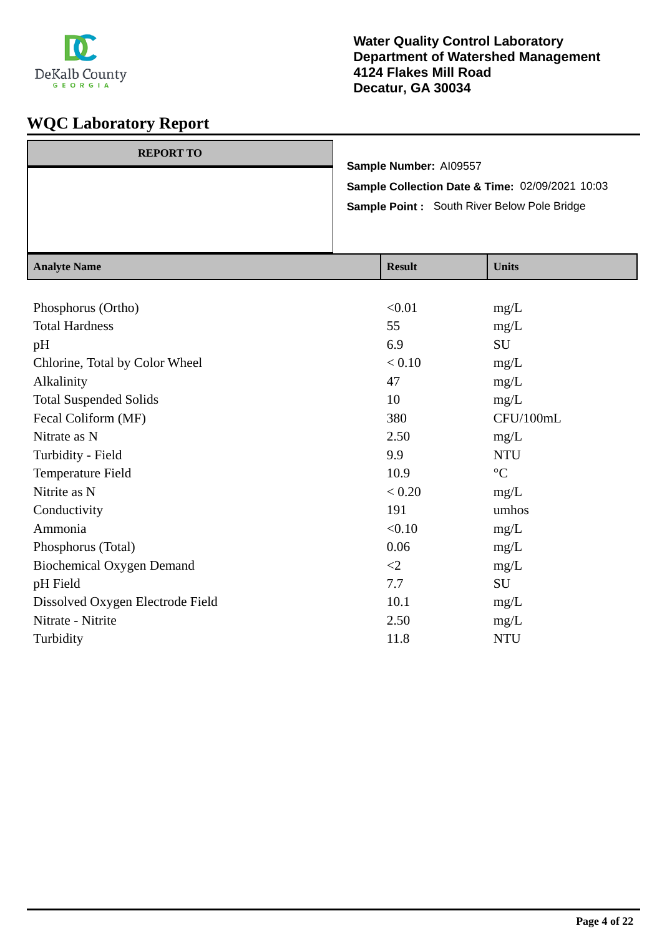

#### **Water Quality Control Laboratory Department of Watershed Management 4124 Flakes Mill Road Decatur, GA 30034**

| <b>REPORT TO</b> |                                                 |
|------------------|-------------------------------------------------|
|                  | Sample Number: AI09557                          |
|                  | Sample Collection Date & Time: 02/09/2021 10:03 |
|                  | Sample Point: South River Below Pole Bridge     |
|                  |                                                 |
|                  |                                                 |

| <b>Analyte Name</b>              | <b>Result</b> | <b>Units</b>    |
|----------------------------------|---------------|-----------------|
|                                  |               |                 |
| Phosphorus (Ortho)               | < 0.01        | mg/L            |
| <b>Total Hardness</b>            | 55            | mg/L            |
| pH                               | 6.9           | SU              |
| Chlorine, Total by Color Wheel   | < 0.10        | mg/L            |
| Alkalinity                       | 47            | mg/L            |
| <b>Total Suspended Solids</b>    | 10            | mg/L            |
| Fecal Coliform (MF)              | 380           | CFU/100mL       |
| Nitrate as N                     | 2.50          | mg/L            |
| Turbidity - Field                | 9.9           | <b>NTU</b>      |
| Temperature Field                | 10.9          | $\rm ^{\circ}C$ |
| Nitrite as N                     | < 0.20        | mg/L            |
| Conductivity                     | 191           | umhos           |
| Ammonia                          | < 0.10        | mg/L            |
| Phosphorus (Total)               | 0.06          | mg/L            |
| <b>Biochemical Oxygen Demand</b> | $\leq$ 2      | mg/L            |
| pH Field                         | 7.7           | SU              |
| Dissolved Oxygen Electrode Field | 10.1          | mg/L            |
| Nitrate - Nitrite                | 2.50          | mg/L            |
| Turbidity                        | 11.8          | <b>NTU</b>      |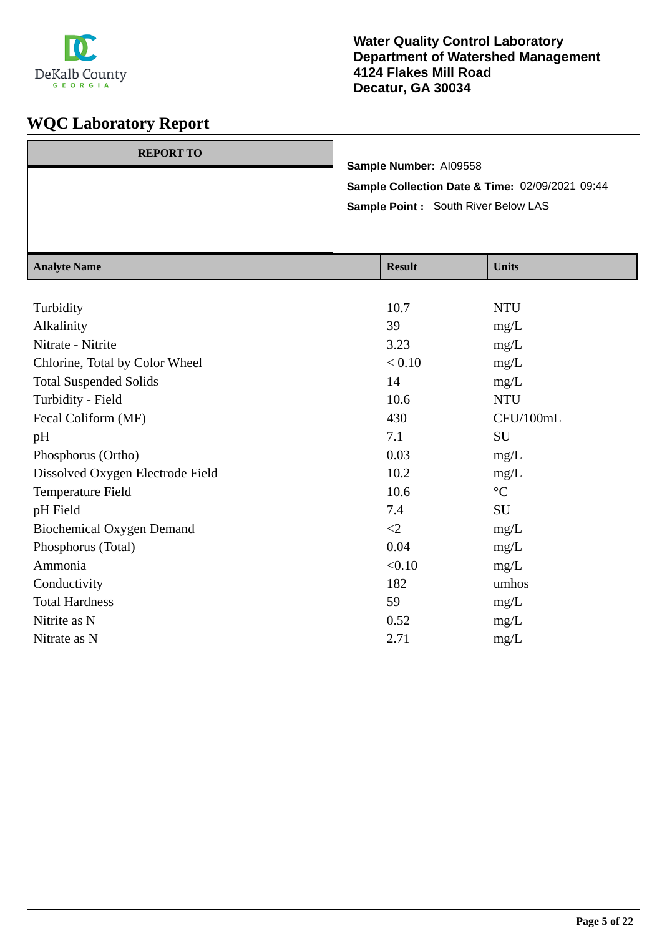

| <b>REPORT TO</b> |                                                 |
|------------------|-------------------------------------------------|
|                  | Sample Number: AI09558                          |
|                  | Sample Collection Date & Time: 02/09/2021 09:44 |
|                  | Sample Point : South River Below LAS            |
|                  |                                                 |
|                  |                                                 |

| <b>Analyte Name</b>              | <b>Result</b> | <b>Units</b>    |
|----------------------------------|---------------|-----------------|
|                                  |               |                 |
| Turbidity                        | 10.7          | <b>NTU</b>      |
| Alkalinity                       | 39            | mg/L            |
| Nitrate - Nitrite                | 3.23          | mg/L            |
| Chlorine, Total by Color Wheel   | < 0.10        | mg/L            |
| <b>Total Suspended Solids</b>    | 14            | mg/L            |
| Turbidity - Field                | 10.6          | <b>NTU</b>      |
| Fecal Coliform (MF)              | 430           | CFU/100mL       |
| pH                               | 7.1           | SU              |
| Phosphorus (Ortho)               | 0.03          | mg/L            |
| Dissolved Oxygen Electrode Field | 10.2          | mg/L            |
| Temperature Field                | 10.6          | $\rm ^{\circ}C$ |
| pH Field                         | 7.4           | SU              |
| <b>Biochemical Oxygen Demand</b> | $\leq$        | mg/L            |
| Phosphorus (Total)               | 0.04          | mg/L            |
| Ammonia                          | < 0.10        | mg/L            |
| Conductivity                     | 182           | umhos           |
| <b>Total Hardness</b>            | 59            | mg/L            |
| Nitrite as N                     | 0.52          | mg/L            |
| Nitrate as N                     | 2.71          | mg/L            |
|                                  |               |                 |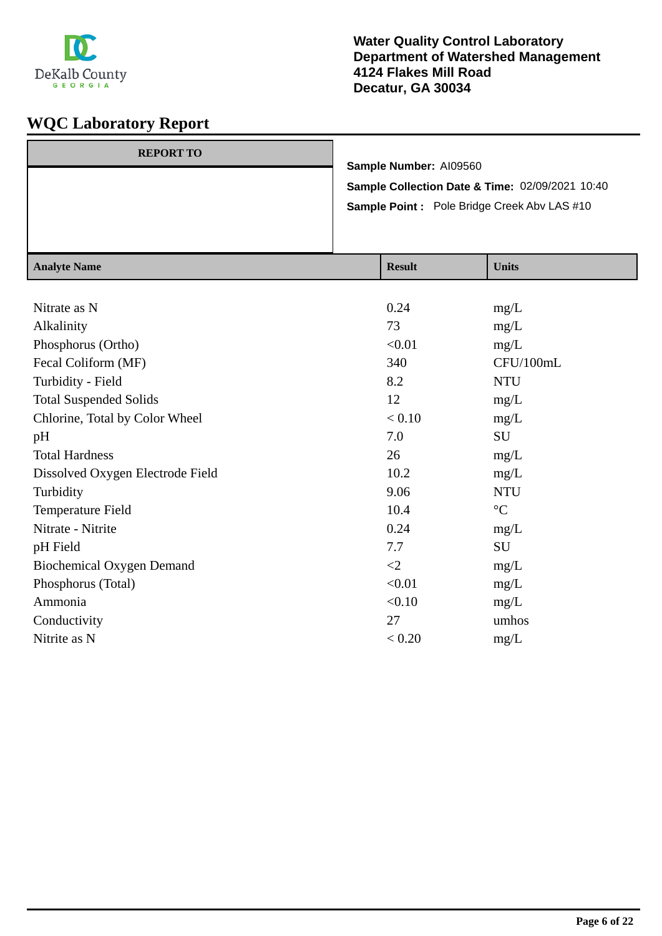

| <b>REPORT TO</b> |                                                    |
|------------------|----------------------------------------------------|
|                  | Sample Number: AI09560                             |
|                  | Sample Collection Date & Time: 02/09/2021 10:40    |
|                  | <b>Sample Point:</b> Pole Bridge Creek Aby LAS #10 |
|                  |                                                    |
|                  |                                                    |

| <b>Analyte Name</b>              | <b>Result</b> | <b>Units</b>    |
|----------------------------------|---------------|-----------------|
|                                  |               |                 |
| Nitrate as N                     | 0.24          | mg/L            |
| Alkalinity                       | 73            | mg/L            |
| Phosphorus (Ortho)               | < 0.01        | mg/L            |
| Fecal Coliform (MF)              | 340           | CFU/100mL       |
| Turbidity - Field                | 8.2           | <b>NTU</b>      |
| <b>Total Suspended Solids</b>    | 12            | mg/L            |
| Chlorine, Total by Color Wheel   | < 0.10        | mg/L            |
| pH                               | 7.0           | SU              |
| <b>Total Hardness</b>            | 26            | mg/L            |
| Dissolved Oxygen Electrode Field | 10.2          | mg/L            |
| Turbidity                        | 9.06          | <b>NTU</b>      |
| Temperature Field                | 10.4          | $\rm ^{\circ}C$ |
| Nitrate - Nitrite                | 0.24          | mg/L            |
| pH Field                         | 7.7           | SU              |
| <b>Biochemical Oxygen Demand</b> | $\leq$ 2      | mg/L            |
| Phosphorus (Total)               | < 0.01        | mg/L            |
| Ammonia                          | < 0.10        | mg/L            |
| Conductivity                     | 27            | umhos           |
| Nitrite as N                     | < 0.20        | mg/L            |
|                                  |               |                 |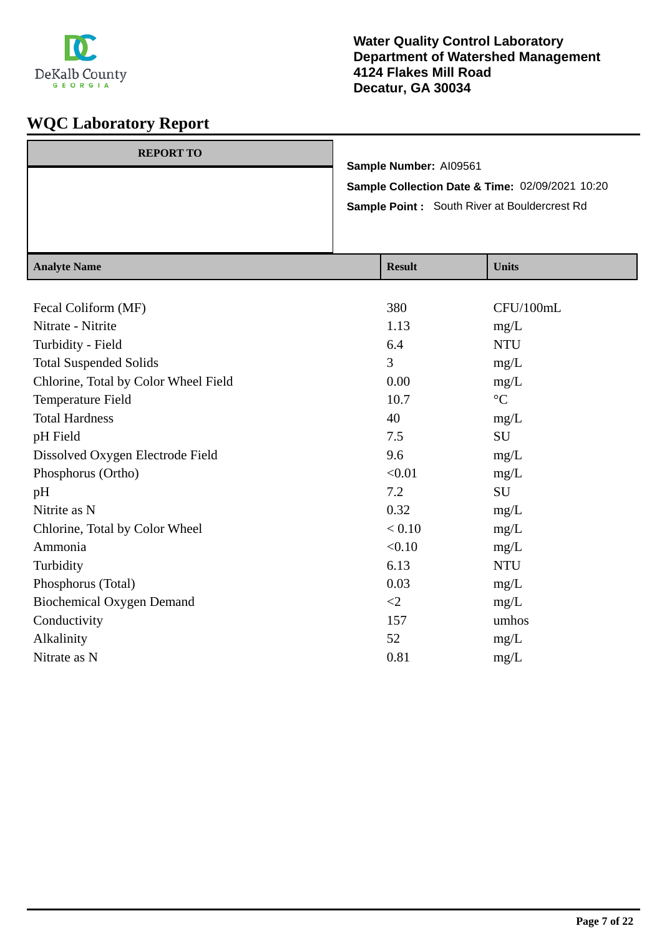

| <b>REPORT TO</b> |                                                     |
|------------------|-----------------------------------------------------|
|                  | Sample Number: AI09561                              |
|                  | Sample Collection Date & Time: 02/09/2021 10:20     |
|                  | <b>Sample Point:</b> South River at Bouldercrest Rd |
|                  |                                                     |
|                  |                                                     |

| <b>Analyte Name</b>                  | <b>Result</b> | <b>Units</b>    |
|--------------------------------------|---------------|-----------------|
|                                      |               |                 |
| Fecal Coliform (MF)                  | 380           | CFU/100mL       |
| Nitrate - Nitrite                    | 1.13          | mg/L            |
| Turbidity - Field                    | 6.4           | <b>NTU</b>      |
| <b>Total Suspended Solids</b>        | 3             | mg/L            |
| Chlorine, Total by Color Wheel Field | 0.00          | mg/L            |
| Temperature Field                    | 10.7          | $\rm ^{\circ}C$ |
| <b>Total Hardness</b>                | 40            | mg/L            |
| pH Field                             | 7.5           | SU              |
| Dissolved Oxygen Electrode Field     | 9.6           | mg/L            |
| Phosphorus (Ortho)                   | < 0.01        | mg/L            |
| pH                                   | 7.2           | SU              |
| Nitrite as N                         | 0.32          | mg/L            |
| Chlorine, Total by Color Wheel       | < 0.10        | mg/L            |
| Ammonia                              | < 0.10        | mg/L            |
| Turbidity                            | 6.13          | <b>NTU</b>      |
| Phosphorus (Total)                   | 0.03          | mg/L            |
| <b>Biochemical Oxygen Demand</b>     | $\leq$ 2      | mg/L            |
| Conductivity                         | 157           | umhos           |
| Alkalinity                           | 52            | mg/L            |
| Nitrate as N                         | 0.81          | mg/L            |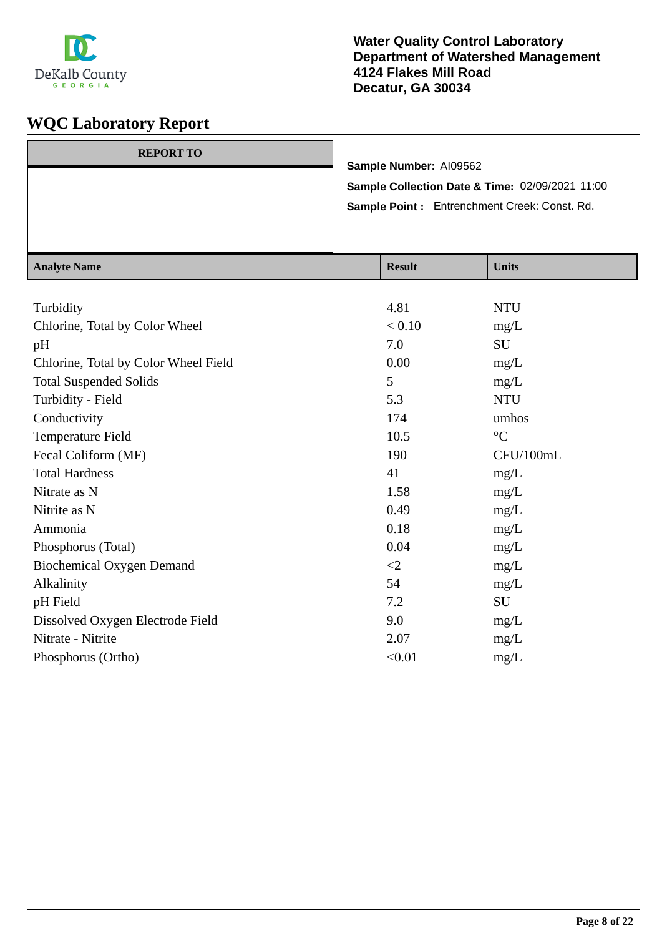

| <b>REPORT TO</b> |                                                 |
|------------------|-------------------------------------------------|
|                  | Sample Number: AI09562                          |
|                  | Sample Collection Date & Time: 02/09/2021 11:00 |
|                  | Sample Point: Entrenchment Creek: Const. Rd.    |
|                  |                                                 |
|                  |                                                 |

| <b>Analyte Name</b>                  | <b>Result</b> | <b>Units</b>    |
|--------------------------------------|---------------|-----------------|
|                                      |               |                 |
| Turbidity                            | 4.81          | <b>NTU</b>      |
| Chlorine, Total by Color Wheel       | < 0.10        | mg/L            |
| pH                                   | 7.0           | SU              |
| Chlorine, Total by Color Wheel Field | 0.00          | mg/L            |
| <b>Total Suspended Solids</b>        | 5             | mg/L            |
| Turbidity - Field                    | 5.3           | <b>NTU</b>      |
| Conductivity                         | 174           | umhos           |
| Temperature Field                    | 10.5          | $\rm ^{\circ}C$ |
| Fecal Coliform (MF)                  | 190           | CFU/100mL       |
| <b>Total Hardness</b>                | 41            | mg/L            |
| Nitrate as N                         | 1.58          | mg/L            |
| Nitrite as N                         | 0.49          | mg/L            |
| Ammonia                              | 0.18          | mg/L            |
| Phosphorus (Total)                   | 0.04          | mg/L            |
| <b>Biochemical Oxygen Demand</b>     | $\leq$ 2      | mg/L            |
| Alkalinity                           | 54            | mg/L            |
| pH Field                             | 7.2           | SU              |
| Dissolved Oxygen Electrode Field     | 9.0           | mg/L            |
| Nitrate - Nitrite                    | 2.07          | mg/L            |
| Phosphorus (Ortho)                   | < 0.01        | mg/L            |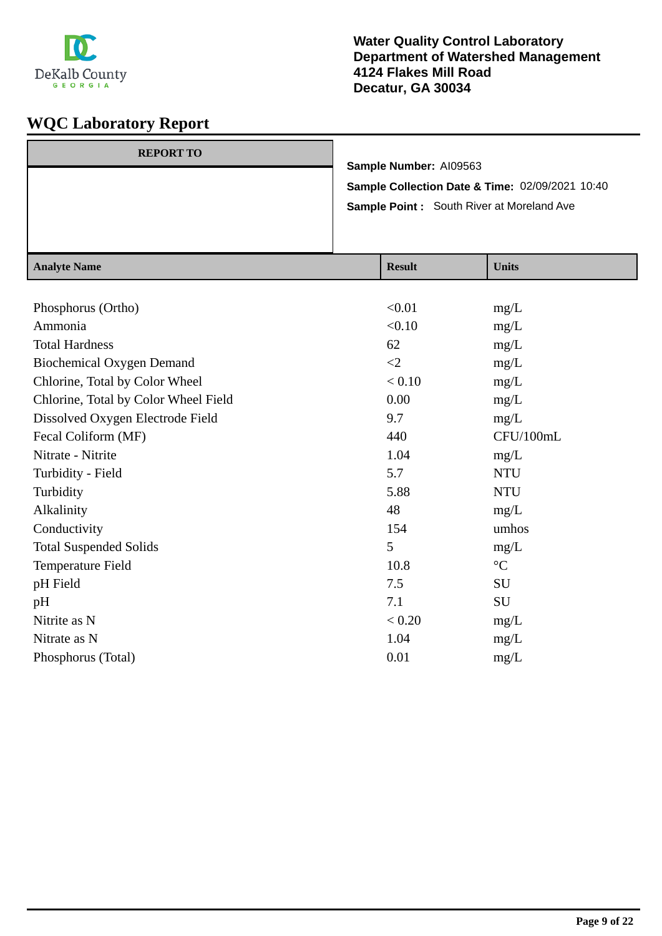

| <b>REPORT TO</b> | Sample Number: AI09563                           |
|------------------|--------------------------------------------------|
|                  | Sample Collection Date & Time: 02/09/2021 10:40  |
|                  | <b>Sample Point:</b> South River at Moreland Ave |
|                  |                                                  |

| <b>Analyte Name</b>                  | <b>Result</b> | <b>Units</b>      |
|--------------------------------------|---------------|-------------------|
|                                      |               |                   |
| Phosphorus (Ortho)                   | < 0.01        | mg/L              |
| Ammonia                              | < 0.10        | mg/L              |
| <b>Total Hardness</b>                | 62            | mg/L              |
| <b>Biochemical Oxygen Demand</b>     | $\leq$ 2      | mg/L              |
| Chlorine, Total by Color Wheel       | < 0.10        | mg/L              |
| Chlorine, Total by Color Wheel Field | 0.00          | mg/L              |
| Dissolved Oxygen Electrode Field     | 9.7           | mg/L              |
| Fecal Coliform (MF)                  | 440           | CFU/100mL         |
| Nitrate - Nitrite                    | 1.04          | mg/L              |
| Turbidity - Field                    | 5.7           | <b>NTU</b>        |
| Turbidity                            | 5.88          | <b>NTU</b>        |
| Alkalinity                           | 48            | mg/L              |
| Conductivity                         | 154           | umhos             |
| <b>Total Suspended Solids</b>        | 5             | mg/L              |
| Temperature Field                    | 10.8          | $^{\circ}{\rm C}$ |
| pH Field                             | 7.5           | <b>SU</b>         |
| pH                                   | 7.1           | SU                |
| Nitrite as N                         | < 0.20        | mg/L              |
| Nitrate as N                         | 1.04          | mg/L              |
| Phosphorus (Total)                   | 0.01          | mg/L              |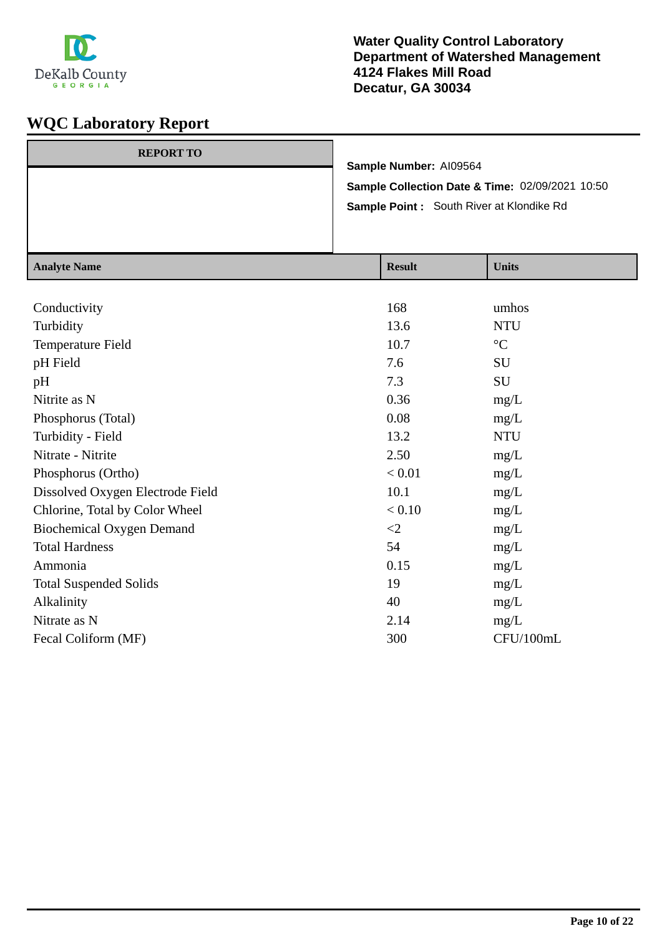

| <b>REPORT TO</b> |                                                 |
|------------------|-------------------------------------------------|
|                  | Sample Number: AI09564                          |
|                  | Sample Collection Date & Time: 02/09/2021 10:50 |
|                  | <b>Sample Point:</b> South River at Klondike Rd |
|                  |                                                 |
|                  |                                                 |

| <b>Analyte Name</b>              | <b>Result</b> | <b>Units</b>    |
|----------------------------------|---------------|-----------------|
|                                  |               |                 |
| Conductivity                     | 168           | umhos           |
| Turbidity                        | 13.6          | <b>NTU</b>      |
| Temperature Field                | 10.7          | $\rm ^{\circ}C$ |
| pH Field                         | 7.6           | SU              |
| pH                               | 7.3           | SU              |
| Nitrite as N                     | 0.36          | mg/L            |
| Phosphorus (Total)               | 0.08          | mg/L            |
| Turbidity - Field                | 13.2          | <b>NTU</b>      |
| Nitrate - Nitrite                | 2.50          | mg/L            |
| Phosphorus (Ortho)               | < 0.01        | mg/L            |
| Dissolved Oxygen Electrode Field | 10.1          | mg/L            |
| Chlorine, Total by Color Wheel   | $< 0.10$      | mg/L            |
| <b>Biochemical Oxygen Demand</b> | $\leq$ 2      | mg/L            |
| <b>Total Hardness</b>            | 54            | mg/L            |
| Ammonia                          | 0.15          | mg/L            |
| <b>Total Suspended Solids</b>    | 19            | mg/L            |
| Alkalinity                       | 40            | mg/L            |
| Nitrate as N                     | 2.14          | mg/L            |
| Fecal Coliform (MF)              | 300           | CFU/100mL       |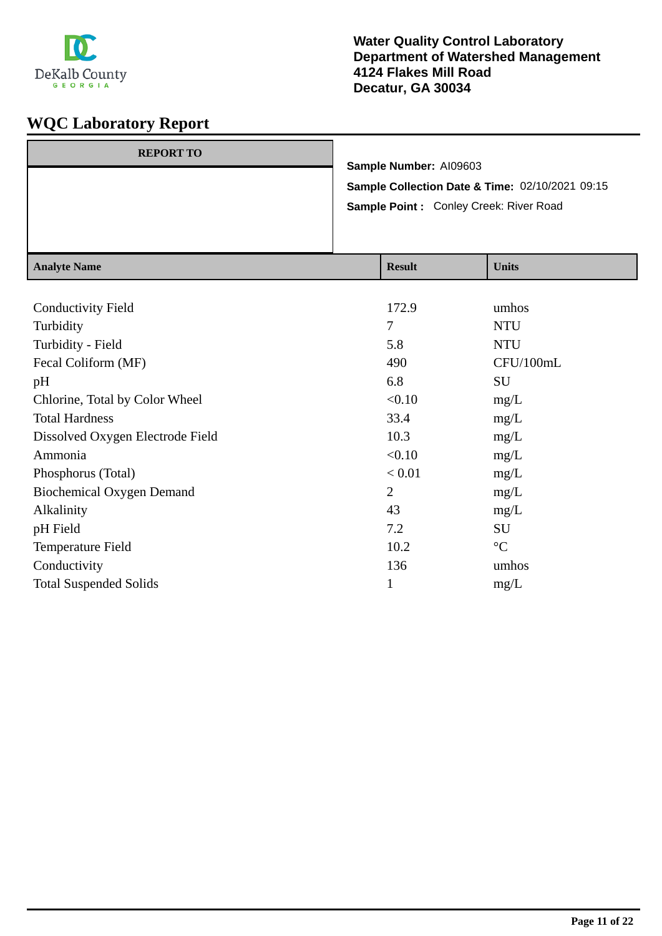

| <b>REPORT TO</b> |                                                 |
|------------------|-------------------------------------------------|
|                  | Sample Number: AI09603                          |
|                  | Sample Collection Date & Time: 02/10/2021 09:15 |
|                  | Sample Point: Conley Creek: River Road          |
|                  |                                                 |
|                  |                                                 |

| <b>Analyte Name</b>              | <b>Result</b>  | <b>Units</b>    |
|----------------------------------|----------------|-----------------|
|                                  |                |                 |
| <b>Conductivity Field</b>        | 172.9          | umhos           |
| Turbidity                        | $\tau$         | <b>NTU</b>      |
| Turbidity - Field                | 5.8            | <b>NTU</b>      |
| Fecal Coliform (MF)              | 490            | CFU/100mL       |
| pH                               | 6.8            | SU              |
| Chlorine, Total by Color Wheel   | < 0.10         | mg/L            |
| <b>Total Hardness</b>            | 33.4           | mg/L            |
| Dissolved Oxygen Electrode Field | 10.3           | mg/L            |
| Ammonia                          | < 0.10         | mg/L            |
| Phosphorus (Total)               | < 0.01         | mg/L            |
| <b>Biochemical Oxygen Demand</b> | $\overline{2}$ | mg/L            |
| Alkalinity                       | 43             | mg/L            |
| pH Field                         | 7.2            | SU              |
| Temperature Field                | 10.2           | $\rm ^{\circ}C$ |
| Conductivity                     | 136            | umhos           |
| <b>Total Suspended Solids</b>    | 1              | mg/L            |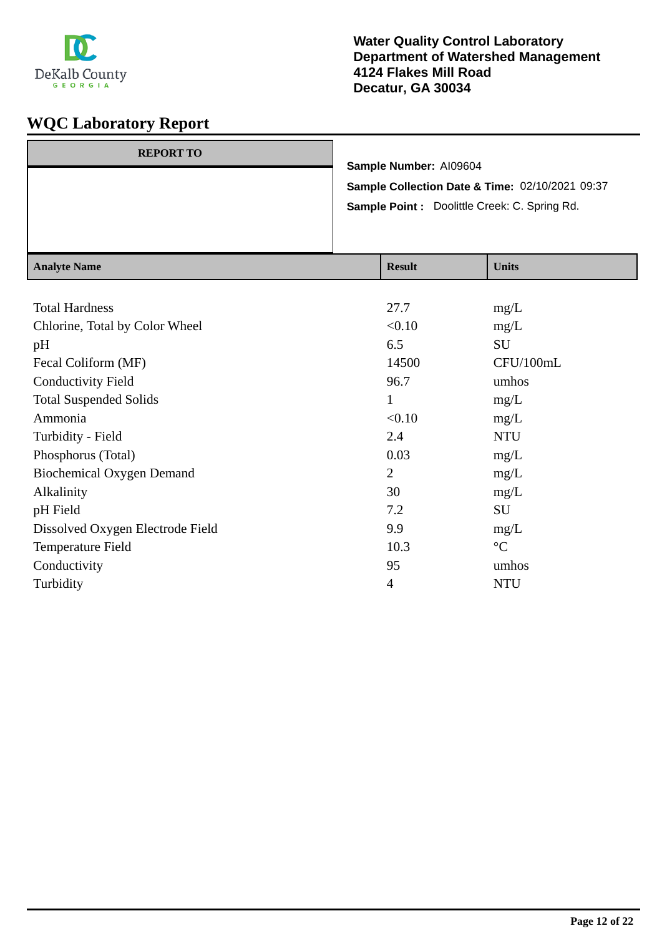

| <b>REPORT TO</b> |                                                 |
|------------------|-------------------------------------------------|
|                  | Sample Number: AI09604                          |
|                  | Sample Collection Date & Time: 02/10/2021 09:37 |
|                  | Sample Point : Doolittle Creek: C. Spring Rd.   |
|                  |                                                 |
|                  |                                                 |

| <b>Analyte Name</b>              | <b>Result</b>  | <b>Units</b>    |
|----------------------------------|----------------|-----------------|
|                                  |                |                 |
| <b>Total Hardness</b>            | 27.7           | mg/L            |
| Chlorine, Total by Color Wheel   | < 0.10         | mg/L            |
| pH                               | 6.5            | <b>SU</b>       |
| Fecal Coliform (MF)              | 14500          | CFU/100mL       |
| <b>Conductivity Field</b>        | 96.7           | umhos           |
| <b>Total Suspended Solids</b>    | $\bf{l}$       | mg/L            |
| Ammonia                          | < 0.10         | mg/L            |
| Turbidity - Field                | 2.4            | <b>NTU</b>      |
| Phosphorus (Total)               | 0.03           | mg/L            |
| <b>Biochemical Oxygen Demand</b> | $\overline{2}$ | mg/L            |
| Alkalinity                       | 30             | mg/L            |
| pH Field                         | 7.2            | SU              |
| Dissolved Oxygen Electrode Field | 9.9            | mg/L            |
| Temperature Field                | 10.3           | $\rm ^{\circ}C$ |
| Conductivity                     | 95             | umhos           |
| Turbidity                        | $\overline{4}$ | <b>NTU</b>      |
|                                  |                |                 |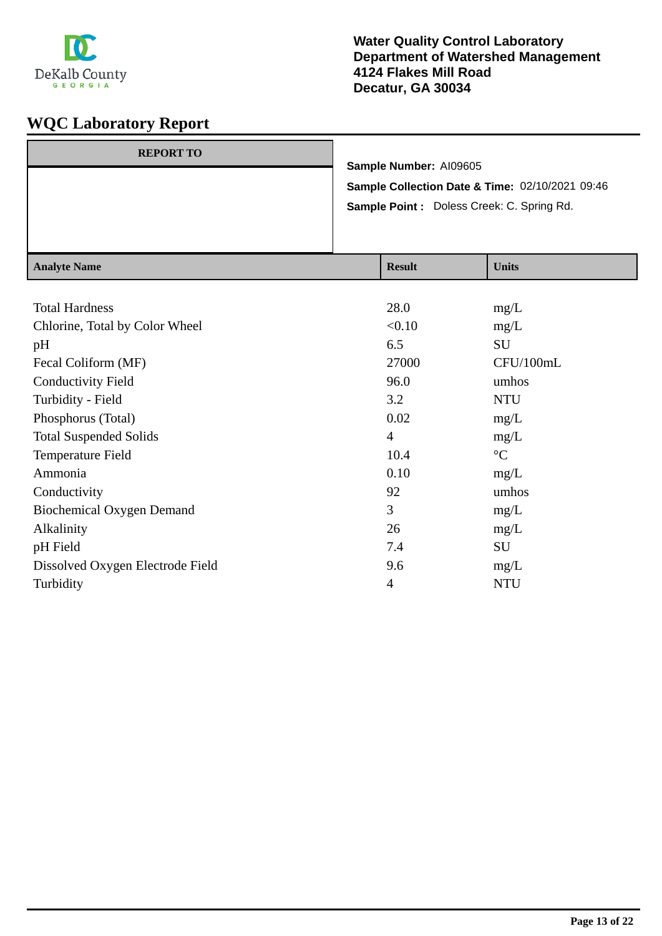

| <b>REPORT TO</b> | Sample Number: AI09605                           |  |
|------------------|--------------------------------------------------|--|
|                  | Sample Collection Date & Time: 02/10/2021 09:46  |  |
|                  | <b>Sample Point:</b> Doless Creek: C. Spring Rd. |  |
|                  |                                                  |  |

| <b>Analyte Name</b>              | <b>Result</b>  | <b>Units</b>    |
|----------------------------------|----------------|-----------------|
|                                  |                |                 |
| <b>Total Hardness</b>            | 28.0           | mg/L            |
| Chlorine, Total by Color Wheel   | < 0.10         | mg/L            |
| pH                               | 6.5            | <b>SU</b>       |
| Fecal Coliform (MF)              | 27000          | CFU/100mL       |
| <b>Conductivity Field</b>        | 96.0           | umhos           |
| Turbidity - Field                | 3.2            | <b>NTU</b>      |
| Phosphorus (Total)               | 0.02           | mg/L            |
| <b>Total Suspended Solids</b>    | $\overline{4}$ | mg/L            |
| Temperature Field                | 10.4           | $\rm ^{\circ}C$ |
| Ammonia                          | 0.10           | mg/L            |
| Conductivity                     | 92             | umhos           |
| <b>Biochemical Oxygen Demand</b> | 3              | mg/L            |
| Alkalinity                       | 26             | mg/L            |
| pH Field                         | 7.4            | SU              |
| Dissolved Oxygen Electrode Field | 9.6            | mg/L            |
| Turbidity                        | $\overline{4}$ | <b>NTU</b>      |
|                                  |                |                 |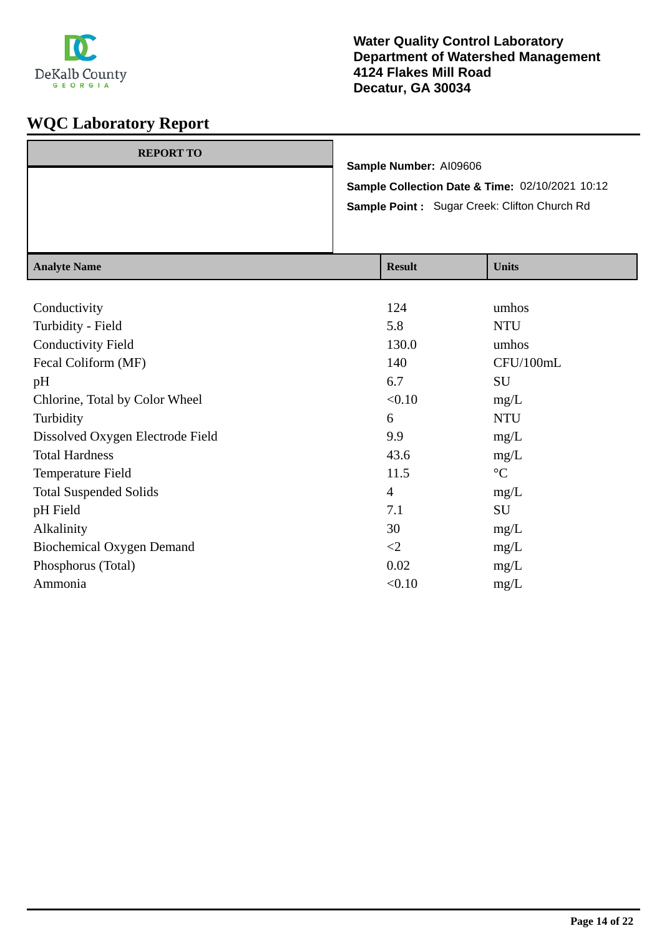

| <b>REPORT TO</b> |                                                 |
|------------------|-------------------------------------------------|
|                  | Sample Number: AI09606                          |
|                  | Sample Collection Date & Time: 02/10/2021 10:12 |
|                  | Sample Point: Sugar Creek: Clifton Church Rd    |
|                  |                                                 |
|                  |                                                 |

| <b>Result</b>  | <b>Units</b>    |
|----------------|-----------------|
|                |                 |
| 124            | umhos           |
| 5.8            | <b>NTU</b>      |
| 130.0          | umhos           |
| 140            | CFU/100mL       |
| 6.7            | SU              |
| < 0.10         | mg/L            |
| 6              | <b>NTU</b>      |
| 9.9            | mg/L            |
| 43.6           | mg/L            |
| 11.5           | $\rm ^{\circ}C$ |
| $\overline{4}$ | mg/L            |
| 7.1            | SU              |
| 30             | mg/L            |
| $\leq$ 2       | mg/L            |
| 0.02           | mg/L            |
| < 0.10         | mg/L            |
|                |                 |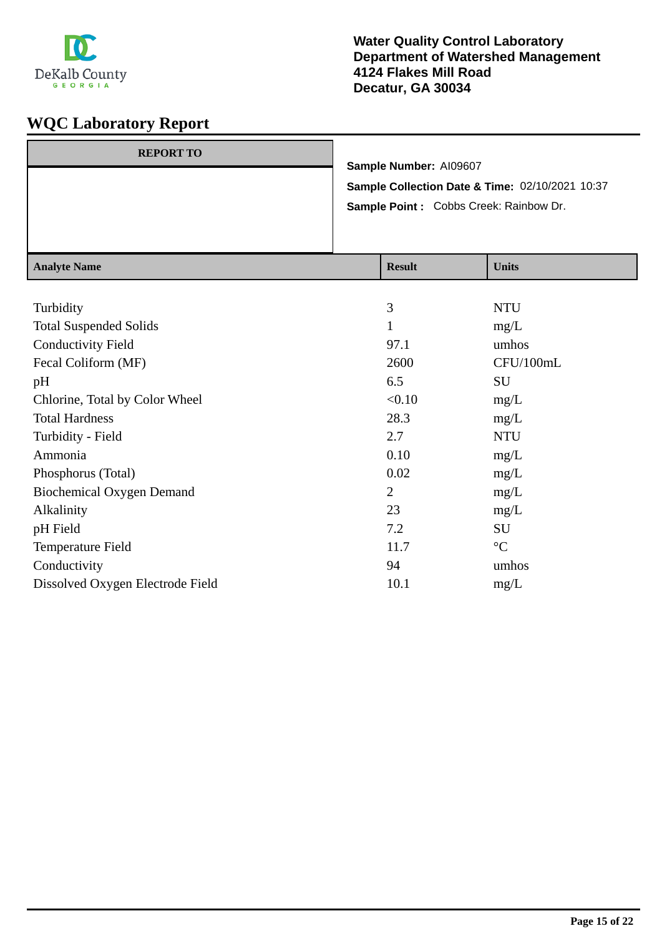

| <b>REPORT TO</b> |                                                 |
|------------------|-------------------------------------------------|
|                  | Sample Number: AI09607                          |
|                  | Sample Collection Date & Time: 02/10/2021 10:37 |
|                  | Sample Point: Cobbs Creek: Rainbow Dr.          |
|                  |                                                 |
|                  |                                                 |

| <b>Analyte Name</b>              | <b>Result</b>  | <b>Units</b>    |
|----------------------------------|----------------|-----------------|
|                                  |                |                 |
| Turbidity                        | 3              | <b>NTU</b>      |
| <b>Total Suspended Solids</b>    | 1              | mg/L            |
| <b>Conductivity Field</b>        | 97.1           | umhos           |
| Fecal Coliform (MF)              | 2600           | CFU/100mL       |
| pH                               | 6.5            | SU              |
| Chlorine, Total by Color Wheel   | < 0.10         | mg/L            |
| <b>Total Hardness</b>            | 28.3           | mg/L            |
| Turbidity - Field                | 2.7            | <b>NTU</b>      |
| Ammonia                          | 0.10           | mg/L            |
| Phosphorus (Total)               | 0.02           | mg/L            |
| <b>Biochemical Oxygen Demand</b> | $\overline{2}$ | mg/L            |
| Alkalinity                       | 23             | mg/L            |
| pH Field                         | 7.2            | SU              |
| Temperature Field                | 11.7           | $\rm ^{\circ}C$ |
| Conductivity                     | 94             | umhos           |
| Dissolved Oxygen Electrode Field | 10.1           | mg/L            |
|                                  |                |                 |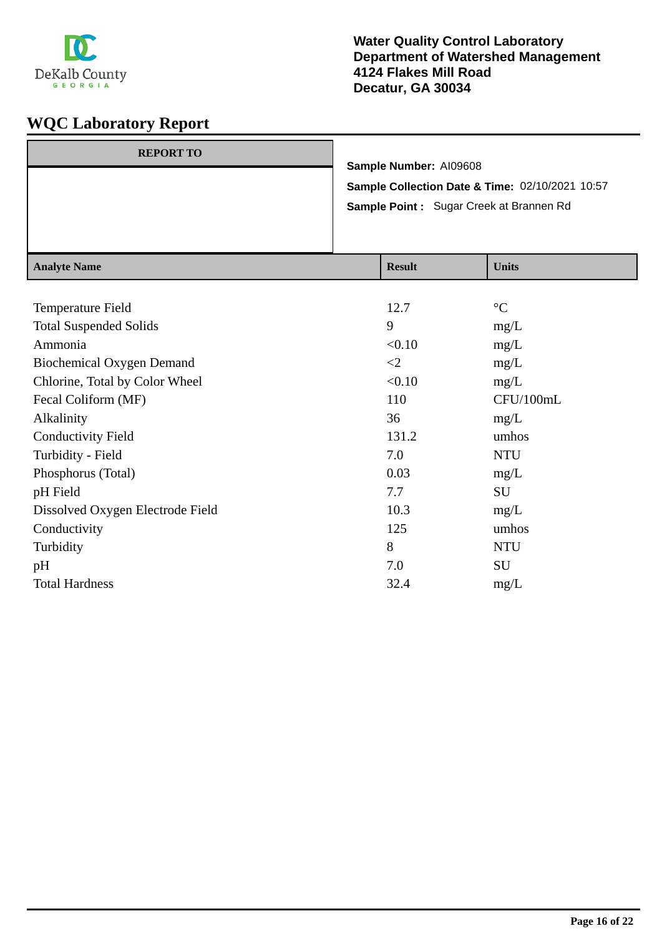

| <b>REPORT TO</b> |                                                 |
|------------------|-------------------------------------------------|
|                  | Sample Number: AI09608                          |
|                  | Sample Collection Date & Time: 02/10/2021 10:57 |
|                  | Sample Point: Sugar Creek at Brannen Rd         |
|                  |                                                 |
|                  |                                                 |

| <b>Analyte Name</b>              | <b>Result</b> | <b>Units</b>    |
|----------------------------------|---------------|-----------------|
|                                  |               |                 |
| Temperature Field                | 12.7          | $\rm ^{\circ}C$ |
| <b>Total Suspended Solids</b>    | 9             | mg/L            |
| Ammonia                          | < 0.10        | mg/L            |
| <b>Biochemical Oxygen Demand</b> | $\leq$        | mg/L            |
| Chlorine, Total by Color Wheel   | < 0.10        | mg/L            |
| Fecal Coliform (MF)              | 110           | CFU/100mL       |
| Alkalinity                       | 36            | mg/L            |
| <b>Conductivity Field</b>        | 131.2         | umhos           |
| Turbidity - Field                | 7.0           | <b>NTU</b>      |
| Phosphorus (Total)               | 0.03          | mg/L            |
| pH Field                         | 7.7           | SU              |
| Dissolved Oxygen Electrode Field | 10.3          | mg/L            |
| Conductivity                     | 125           | umhos           |
| Turbidity                        | 8             | <b>NTU</b>      |
| pH                               | 7.0           | SU              |
| <b>Total Hardness</b>            | 32.4          | mg/L            |
|                                  |               |                 |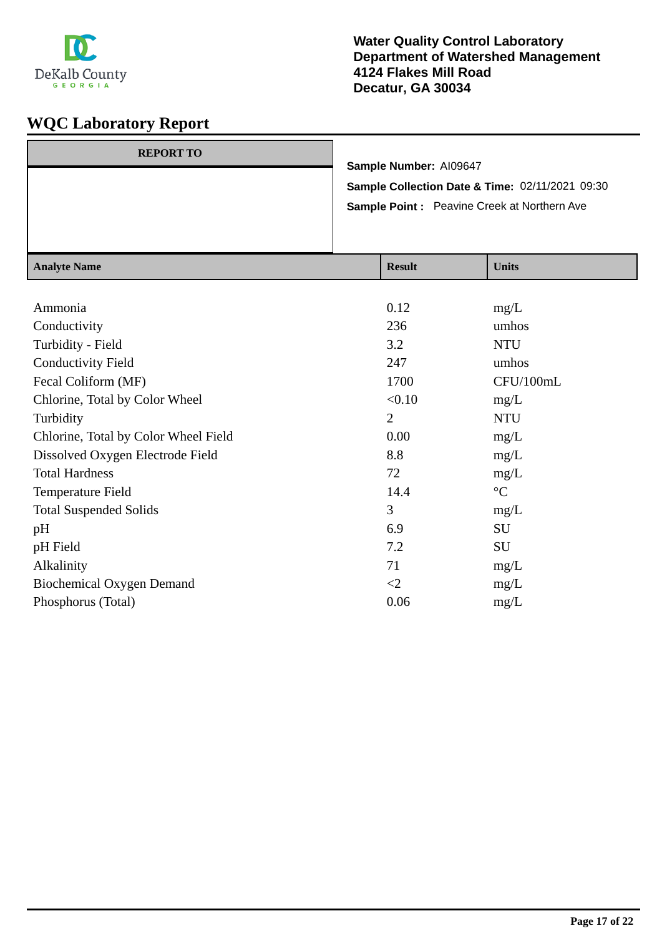

| <b>REPORT TO</b> |                                                    |
|------------------|----------------------------------------------------|
|                  | Sample Number: AI09647                             |
|                  | Sample Collection Date & Time: 02/11/2021 09:30    |
|                  | <b>Sample Point:</b> Peavine Creek at Northern Ave |
|                  |                                                    |
|                  |                                                    |

| <b>Analyte Name</b>                  | <b>Result</b>  | <b>Units</b>    |
|--------------------------------------|----------------|-----------------|
|                                      |                |                 |
| Ammonia                              | 0.12           | mg/L            |
| Conductivity                         | 236            | umhos           |
| Turbidity - Field                    | 3.2            | <b>NTU</b>      |
| <b>Conductivity Field</b>            | 247            | umhos           |
| Fecal Coliform (MF)                  | 1700           | CFU/100mL       |
| Chlorine, Total by Color Wheel       | < 0.10         | mg/L            |
| Turbidity                            | $\overline{2}$ | <b>NTU</b>      |
| Chlorine, Total by Color Wheel Field | 0.00           | mg/L            |
| Dissolved Oxygen Electrode Field     | 8.8            | mg/L            |
| <b>Total Hardness</b>                | 72             | mg/L            |
| Temperature Field                    | 14.4           | $\rm ^{\circ}C$ |
| <b>Total Suspended Solids</b>        | 3              | mg/L            |
| pH                                   | 6.9            | SU              |
| pH Field                             | 7.2            | SU              |
| Alkalinity                           | 71             | mg/L            |
| <b>Biochemical Oxygen Demand</b>     | $\leq$ 2       | mg/L            |
| Phosphorus (Total)                   | 0.06           | mg/L            |
|                                      |                |                 |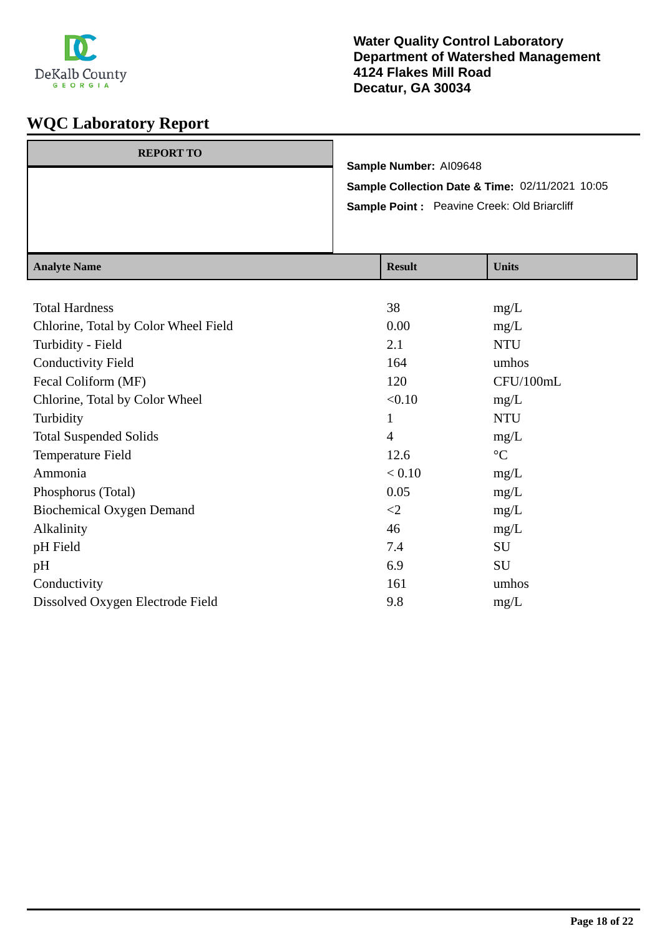

| <b>REPORT TO</b> |                                                 |
|------------------|-------------------------------------------------|
|                  | Sample Number: AI09648                          |
|                  | Sample Collection Date & Time: 02/11/2021 10:05 |
|                  | Sample Point: Peavine Creek: Old Briarcliff     |
|                  |                                                 |
|                  |                                                 |

| <b>Analyte Name</b>                  | <b>Result</b>  | <b>Units</b>    |
|--------------------------------------|----------------|-----------------|
|                                      |                |                 |
| <b>Total Hardness</b>                | 38             | mg/L            |
| Chlorine, Total by Color Wheel Field | 0.00           | mg/L            |
| Turbidity - Field                    | 2.1            | <b>NTU</b>      |
| <b>Conductivity Field</b>            | 164            | umhos           |
| Fecal Coliform (MF)                  | 120            | CFU/100mL       |
| Chlorine, Total by Color Wheel       | < 0.10         | mg/L            |
| Turbidity                            | 1              | <b>NTU</b>      |
| <b>Total Suspended Solids</b>        | $\overline{4}$ | mg/L            |
| Temperature Field                    | 12.6           | $\rm ^{\circ}C$ |
| Ammonia                              | < 0.10         | mg/L            |
| Phosphorus (Total)                   | 0.05           | mg/L            |
| <b>Biochemical Oxygen Demand</b>     | $\leq$         | mg/L            |
| Alkalinity                           | 46             | mg/L            |
| pH Field                             | 7.4            | SU              |
| pH                                   | 6.9            | <b>SU</b>       |
| Conductivity                         | 161            | umhos           |
| Dissolved Oxygen Electrode Field     | 9.8            | mg/L            |
|                                      |                |                 |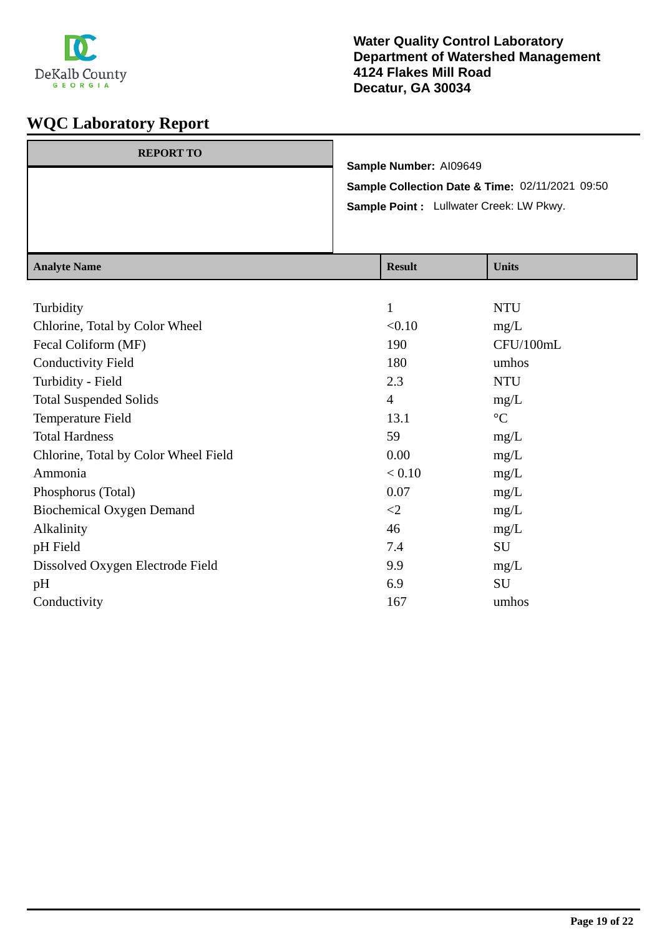

| <b>REPORT TO</b> |                                                 |
|------------------|-------------------------------------------------|
|                  | Sample Number: AI09649                          |
|                  | Sample Collection Date & Time: 02/11/2021 09:50 |
|                  | Sample Point : Lullwater Creek: LW Pkwy.        |
|                  |                                                 |
|                  |                                                 |

| <b>Result</b>  | <b>Units</b>    |
|----------------|-----------------|
|                |                 |
| 1              | <b>NTU</b>      |
| < 0.10         | mg/L            |
| 190            | CFU/100mL       |
| 180            | umhos           |
| 2.3            | <b>NTU</b>      |
| $\overline{4}$ | mg/L            |
| 13.1           | $\rm ^{\circ}C$ |
| 59             | mg/L            |
| 0.00           | mg/L            |
| < 0.10         | mg/L            |
| 0.07           | mg/L            |
| $\leq$         | mg/L            |
| 46             | mg/L            |
| 7.4            | SU              |
| 9.9            | mg/L            |
| 6.9            | SU              |
| 167            | umhos           |
|                |                 |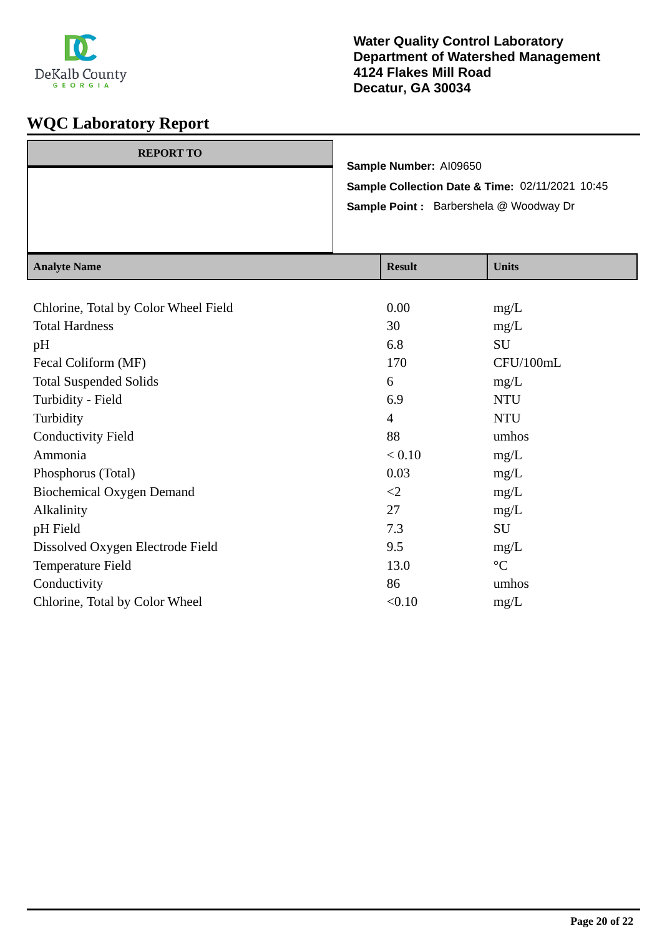

| Sample Number: AI09650<br>Sample Collection Date & Time: 02/11/2021 10:45<br>Sample Point : Barbershela @ Woodway Dr |                  |  |
|----------------------------------------------------------------------------------------------------------------------|------------------|--|
|                                                                                                                      |                  |  |
|                                                                                                                      | <b>REPORT TO</b> |  |

| <b>Analyte Name</b>                  | <b>Result</b>  | <b>Units</b>    |
|--------------------------------------|----------------|-----------------|
|                                      |                |                 |
| Chlorine, Total by Color Wheel Field | 0.00           | mg/L            |
| <b>Total Hardness</b>                | 30             | mg/L            |
| pH                                   | 6.8            | SU              |
| Fecal Coliform (MF)                  | 170            | CFU/100mL       |
| <b>Total Suspended Solids</b>        | 6              | mg/L            |
| Turbidity - Field                    | 6.9            | <b>NTU</b>      |
| Turbidity                            | $\overline{4}$ | <b>NTU</b>      |
| <b>Conductivity Field</b>            | 88             | umhos           |
| Ammonia                              | < 0.10         | mg/L            |
| Phosphorus (Total)                   | 0.03           | mg/L            |
| <b>Biochemical Oxygen Demand</b>     | $\leq$ 2       | mg/L            |
| Alkalinity                           | 27             | mg/L            |
| pH Field                             | 7.3            | SU              |
| Dissolved Oxygen Electrode Field     | 9.5            | mg/L            |
| Temperature Field                    | 13.0           | $\rm ^{\circ}C$ |
| Conductivity                         | 86             | umhos           |
| Chlorine, Total by Color Wheel       | < 0.10         | mg/L            |
|                                      |                |                 |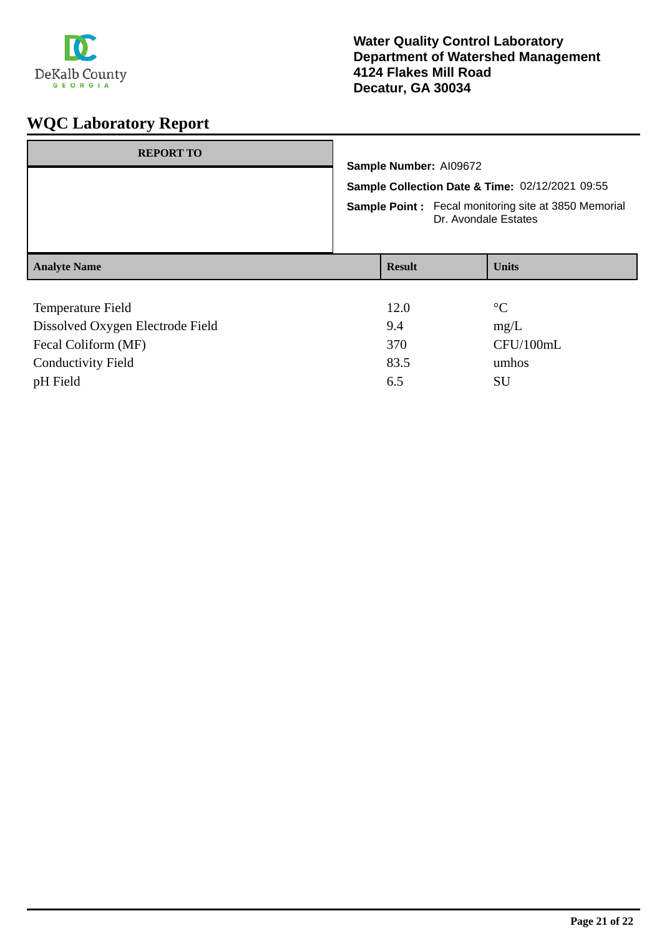

# **WQC Laboratory Report**

| <b>REPORT TO</b>                 |                                                                                                                                        | Sample Number: AI09672 |  |                 |
|----------------------------------|----------------------------------------------------------------------------------------------------------------------------------------|------------------------|--|-----------------|
|                                  |                                                                                                                                        |                        |  |                 |
|                                  | Sample Collection Date & Time: 02/12/2021 09:55<br><b>Sample Point:</b> Fecal monitoring site at 3850 Memorial<br>Dr. Avondale Estates |                        |  |                 |
|                                  |                                                                                                                                        |                        |  |                 |
| <b>Analyte Name</b>              |                                                                                                                                        | <b>Result</b>          |  | <b>Units</b>    |
|                                  |                                                                                                                                        |                        |  |                 |
| <b>Temperature Field</b>         |                                                                                                                                        | 12.0                   |  | $\rm ^{\circ}C$ |
| Dissolved Oxygen Electrode Field |                                                                                                                                        | 9.4                    |  | mg/L            |
| Fecal Coliform (MF)              |                                                                                                                                        | 370                    |  | CFU/100mL       |

Conductivity Field 83.5 umhos pH Field 6.5 SU